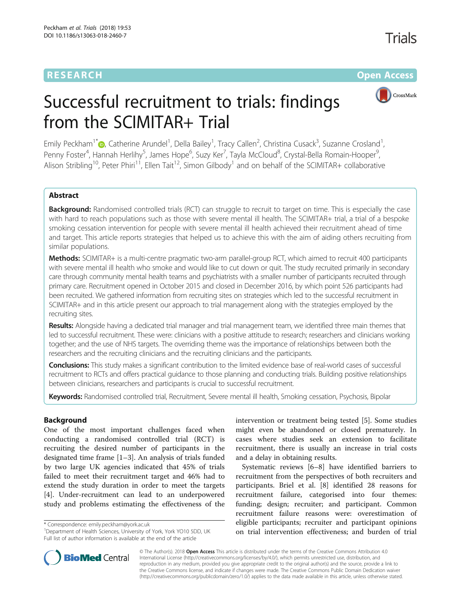# **RESEARCH CHE Open Access**



# Successful recruitment to trials: findings from the SCIMITAR+ Trial

Emily Peckham<sup>1\*</sup> D, Catherine Arundel<sup>1</sup>, Della Bailey<sup>1</sup>, Tracy Callen<sup>2</sup>, Christina Cusack<sup>3</sup>, Suzanne Crosland<sup>1</sup> , Penny Foster<sup>4</sup>, Hannah Herlihy<sup>5</sup>, James Hope<sup>6</sup>, Suzy Ker<sup>7</sup>, Tayla McCloud<sup>8</sup>, Crystal-Bella Romain-Hooper<sup>s</sup> , Alison Stribling<sup>10</sup>, Peter Phiri<sup>11</sup>, Ellen Tait<sup>12</sup>, Simon Gilbody<sup>1</sup> and on behalf of the SCIMITAR+ collaborative

## Abstract

**Background:** Randomised controlled trials (RCT) can struggle to recruit to target on time. This is especially the case with hard to reach populations such as those with severe mental ill health. The SCIMITAR+ trial, a trial of a bespoke smoking cessation intervention for people with severe mental ill health achieved their recruitment ahead of time and target. This article reports strategies that helped us to achieve this with the aim of aiding others recruiting from similar populations.

Methods: SCIMITAR+ is a multi-centre pragmatic two-arm parallel-group RCT, which aimed to recruit 400 participants with severe mental ill health who smoke and would like to cut down or quit. The study recruited primarily in secondary care through community mental health teams and psychiatrists with a smaller number of participants recruited through primary care. Recruitment opened in October 2015 and closed in December 2016, by which point 526 participants had been recruited. We gathered information from recruiting sites on strategies which led to the successful recruitment in SCIMITAR+ and in this article present our approach to trial management along with the strategies employed by the recruiting sites.

Results: Alongside having a dedicated trial manager and trial management team, we identified three main themes that led to successful recruitment. These were: clinicians with a positive attitude to research; researchers and clinicians working together; and the use of NHS targets. The overriding theme was the importance of relationships between both the researchers and the recruiting clinicians and the recruiting clinicians and the participants.

**Conclusions:** This study makes a significant contribution to the limited evidence base of real-world cases of successful recruitment to RCTs and offers practical guidance to those planning and conducting trials. Building positive relationships between clinicians, researchers and participants is crucial to successful recruitment.

Keywords: Randomised controlled trial, Recruitment, Severe mental ill health, Smoking cessation, Psychosis, Bipolar

## Background

One of the most important challenges faced when conducting a randomised controlled trial (RCT) is recruiting the desired number of participants in the designated time frame [\[1](#page-5-0)–[3\]](#page-5-0). An analysis of trials funded by two large UK agencies indicated that 45% of trials failed to meet their recruitment target and 46% had to extend the study duration in order to meet the targets [[4\]](#page-5-0). Under-recruitment can lead to an underpowered study and problems estimating the effectiveness of the

\* Correspondence: [emily.peckham@york.ac.uk](mailto:emily.peckham@york.ac.uk) <sup>1</sup>

intervention or treatment being tested [\[5](#page-5-0)]. Some studies might even be abandoned or closed prematurely. In cases where studies seek an extension to facilitate recruitment, there is usually an increase in trial costs and a delay in obtaining results.

Systematic reviews [[6](#page-5-0)–[8\]](#page-5-0) have identified barriers to recruitment from the perspectives of both recruiters and participants. Briel et al. [[8\]](#page-5-0) identified 28 reasons for recruitment failure, categorised into four themes: funding; design; recruiter; and participant. Common recruitment failure reasons were: overestimation of eligible participants; recruiter and participant opinions on trial intervention effectiveness; and burden of trial



© The Author(s). 2018 Open Access This article is distributed under the terms of the Creative Commons Attribution 4.0 International License [\(http://creativecommons.org/licenses/by/4.0/](http://creativecommons.org/licenses/by/4.0/)), which permits unrestricted use, distribution, and reproduction in any medium, provided you give appropriate credit to the original author(s) and the source, provide a link to the Creative Commons license, and indicate if changes were made. The Creative Commons Public Domain Dedication waiver [\(http://creativecommons.org/publicdomain/zero/1.0/](http://creativecommons.org/publicdomain/zero/1.0/)) applies to the data made available in this article, unless otherwise stated.

<sup>&</sup>lt;sup>1</sup>Department of Health Sciences, University of York, York YO10 5DD, UK Full list of author information is available at the end of the article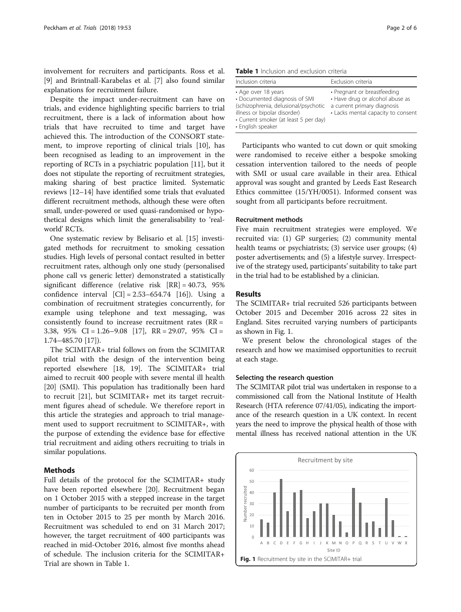<span id="page-1-0"></span>involvement for recruiters and participants. Ross et al. [[9\]](#page-5-0) and Brintnall-Karabelas et al. [\[7](#page-5-0)] also found similar explanations for recruitment failure.

Despite the impact under-recruitment can have on trials, and evidence highlighting specific barriers to trial recruitment, there is a lack of information about how trials that have recruited to time and target have achieved this. The introduction of the CONSORT statement, to improve reporting of clinical trials [[10](#page-5-0)], has been recognised as leading to an improvement in the reporting of RCTs in a psychiatric population [[11\]](#page-5-0), but it does not stipulate the reporting of recruitment strategies, making sharing of best practice limited. Systematic reviews [[12](#page-5-0)–[14\]](#page-5-0) have identified some trials that evaluated different recruitment methods, although these were often small, under-powered or used quasi-randomised or hypothetical designs which limit the generalisability to 'realworld' RCTs.

One systematic review by Belisario et al. [[15](#page-5-0)] investigated methods for recruitment to smoking cessation studies. High levels of personal contact resulted in better recruitment rates, although only one study (personalised phone call vs generic letter) demonstrated a statistically significant difference (relative risk [RR] = 40.73, 95% confidence interval  $|CI| = 2.53-654.74$  [[16\]](#page-5-0)). Using a combination of recruitment strategies concurrently, for example using telephone and text messaging, was consistently found to increase recruitment rates  $(RR =$ 3.38, 95% CI = 1.26–9.08 [\[17](#page-5-0)], RR = 29.07, 95% CI = 1.74–485.70 [\[17](#page-5-0)]).

The SCIMITAR+ trial follows on from the SCIMITAR pilot trial with the design of the intervention being reported elsewhere [\[18](#page-5-0), [19\]](#page-5-0). The SCIMITAR+ trial aimed to recruit 400 people with severe mental ill health [[20\]](#page-5-0) (SMI). This population has traditionally been hard to recruit [\[21\]](#page-5-0), but SCIMITAR+ met its target recruitment figures ahead of schedule. We therefore report in this article the strategies and approach to trial management used to support recruitment to SCIMITAR+, with the purpose of extending the evidence base for effective trial recruitment and aiding others recruiting to trials in similar populations.

#### Methods

Full details of the protocol for the SCIMITAR+ study have been reported elsewhere [\[20](#page-5-0)]. Recruitment began on 1 October 2015 with a stepped increase in the target number of participants to be recruited per month from ten in October 2015 to 25 per month by March 2016. Recruitment was scheduled to end on 31 March 2017; however, the target recruitment of 400 participants was reached in mid-October 2016, almost five months ahead of schedule. The inclusion criteria for the SCIMITAR+ Trial are shown in Table 1.

| <b>Table 1</b> Inclusion and exclusion criteria |
|-------------------------------------------------|
|-------------------------------------------------|

| Inclusion criteria                                                                                                                                                                         | Exclusion criteria                                                                                                                  |
|--------------------------------------------------------------------------------------------------------------------------------------------------------------------------------------------|-------------------------------------------------------------------------------------------------------------------------------------|
| • Age over 18 years<br>• Documented diagnosis of SMI<br>(schizophrenia, delusional/psychotic<br>illness or bipolar disorder)<br>• Current smoker (at least 5 per day)<br>• English speaker | • Pregnant or breastfeeding<br>• Have drug or alcohol abuse as<br>a current primary diagnosis<br>• Lacks mental capacity to consent |

Participants who wanted to cut down or quit smoking were randomised to receive either a bespoke smoking cessation intervention tailored to the needs of people with SMI or usual care available in their area. Ethical approval was sought and granted by Leeds East Research Ethics committee (15/YH/0051). Informed consent was sought from all participants before recruitment.

#### Recruitment methods

Five main recruitment strategies were employed. We recruited via: (1) GP surgeries; (2) community mental health teams or psychiatrists; (3) service user groups; (4) poster advertisements; and (5) a lifestyle survey. Irrespective of the strategy used, participants'suitability to take part in the trial had to be established by a clinician.

#### Results

The SCIMITAR+ trial recruited 526 participants between October 2015 and December 2016 across 22 sites in England. Sites recruited varying numbers of participants as shown in Fig. 1.

We present below the chronological stages of the research and how we maximised opportunities to recruit at each stage.

#### Selecting the research question

The SCIMITAR pilot trial was undertaken in response to a commissioned call from the National Institute of Health Research (HTA reference 07/41/05), indicating the importance of the research question in a UK context. In recent years the need to improve the physical health of those with mental illness has received national attention in the UK

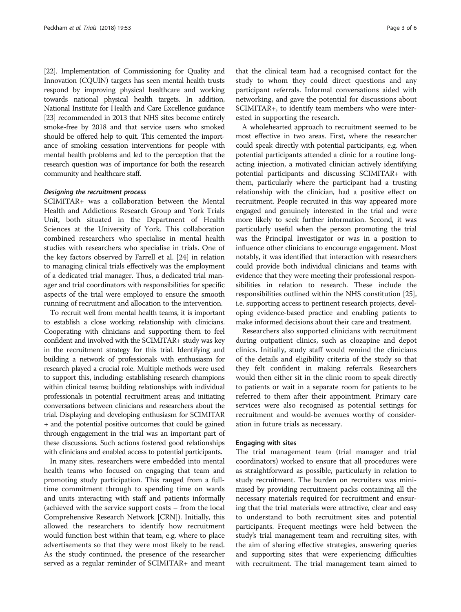[[22](#page-5-0)]. Implementation of Commissioning for Quality and Innovation (CQUIN) targets has seen mental health trusts respond by improving physical healthcare and working towards national physical health targets. In addition, National Institute for Health and Care Excellence guidance [[23](#page-5-0)] recommended in 2013 that NHS sites become entirely smoke-free by 2018 and that service users who smoked should be offered help to quit. This cemented the importance of smoking cessation interventions for people with mental health problems and led to the perception that the research question was of importance for both the research community and healthcare staff.

SCIMITAR+ was a collaboration between the Mental Health and Addictions Research Group and York Trials Unit, both situated in the Department of Health Sciences at the University of York. This collaboration combined researchers who specialise in mental health studies with researchers who specialise in trials. One of the key factors observed by Farrell et al. [\[24\]](#page-5-0) in relation to managing clinical trials effectively was the employment of a dedicated trial manager. Thus, a dedicated trial manager and trial coordinators with responsibilities for specific aspects of the trial were employed to ensure the smooth running of recruitment and allocation to the intervention.

To recruit well from mental health teams, it is important to establish a close working relationship with clinicians. Cooperating with clinicians and supporting them to feel confident and involved with the SCIMITAR+ study was key in the recruitment strategy for this trial. Identifying and building a network of professionals with enthusiasm for research played a crucial role. Multiple methods were used to support this, including: establishing research champions within clinical teams; building relationships with individual professionals in potential recruitment areas; and initiating conversations between clinicians and researchers about the trial. Displaying and developing enthusiasm for SCIMITAR + and the potential positive outcomes that could be gained through engagement in the trial was an important part of these discussions. Such actions fostered good relationships with clinicians and enabled access to potential participants.

In many sites, researchers were embedded into mental health teams who focused on engaging that team and promoting study participation. This ranged from a fulltime commitment through to spending time on wards and units interacting with staff and patients informally (achieved with the service support costs – from the local Comprehensive Research Network [CRN]). Initially, this allowed the researchers to identify how recruitment would function best within that team, e.g. where to place advertisements so that they were most likely to be read. As the study continued, the presence of the researcher served as a regular reminder of SCIMITAR+ and meant that the clinical team had a recognised contact for the study to whom they could direct questions and any participant referrals. Informal conversations aided with networking, and gave the potential for discussions about SCIMITAR+, to identify team members who were interested in supporting the research.

A wholehearted approach to recruitment seemed to be most effective in two areas. First, where the researcher could speak directly with potential participants, e.g. when potential participants attended a clinic for a routine longacting injection, a motivated clinician actively identifying potential participants and discussing SCIMITAR+ with them, particularly where the participant had a trusting relationship with the clinician, had a positive effect on recruitment. People recruited in this way appeared more engaged and genuinely interested in the trial and were more likely to seek further information. Second, it was particularly useful when the person promoting the trial was the Principal Investigator or was in a position to influence other clinicians to encourage engagement. Most notably, it was identified that interaction with researchers could provide both individual clinicians and teams with evidence that they were meeting their professional responsibilities in relation to research. These include the responsibilities outlined within the NHS constitution [[25](#page-5-0)], i.e. supporting access to pertinent research projects, developing evidence-based practice and enabling patients to make informed decisions about their care and treatment.

Researchers also supported clinicians with recruitment during outpatient clinics, such as clozapine and depot clinics. Initially, study staff would remind the clinicians of the details and eligibility criteria of the study so that they felt confident in making referrals. Researchers would then either sit in the clinic room to speak directly to patients or wait in a separate room for patients to be referred to them after their appointment. Primary care services were also recognised as potential settings for recruitment and would-be avenues worthy of consideration in future trials as necessary.

#### Engaging with sites

The trial management team (trial manager and trial coordinators) worked to ensure that all procedures were as straightforward as possible, particularly in relation to study recruitment. The burden on recruiters was minimised by providing recruitment packs containing all the necessary materials required for recruitment and ensuring that the trial materials were attractive, clear and easy to understand to both recruitment sites and potential participants. Frequent meetings were held between the study's trial management team and recruiting sites, with the aim of sharing effective strategies, answering queries and supporting sites that were experiencing difficulties with recruitment. The trial management team aimed to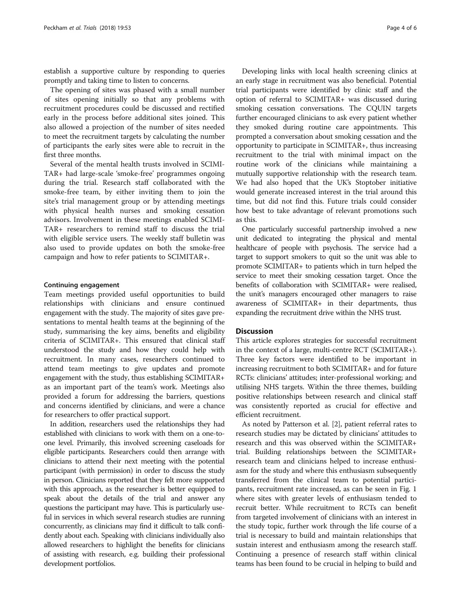establish a supportive culture by responding to queries promptly and taking time to listen to concerns.

The opening of sites was phased with a small number of sites opening initially so that any problems with recruitment procedures could be discussed and rectified early in the process before additional sites joined. This also allowed a projection of the number of sites needed to meet the recruitment targets by calculating the number of participants the early sites were able to recruit in the first three months.

Several of the mental health trusts involved in SCIMI-TAR+ had large-scale 'smoke-free' programmes ongoing during the trial. Research staff collaborated with the smoke-free team, by either inviting them to join the site's trial management group or by attending meetings with physical health nurses and smoking cessation advisors. Involvement in these meetings enabled SCIMI-TAR+ researchers to remind staff to discuss the trial with eligible service users. The weekly staff bulletin was also used to provide updates on both the smoke-free campaign and how to refer patients to SCIMITAR+.

#### Continuing engagement

Team meetings provided useful opportunities to build relationships with clinicians and ensure continued engagement with the study. The majority of sites gave presentations to mental health teams at the beginning of the study, summarising the key aims, benefits and eligibility criteria of SCIMITAR+. This ensured that clinical staff understood the study and how they could help with recruitment. In many cases, researchers continued to attend team meetings to give updates and promote engagement with the study, thus establishing SCIMITAR+ as an important part of the team's work. Meetings also provided a forum for addressing the barriers, questions and concerns identified by clinicians, and were a chance for researchers to offer practical support.

In addition, researchers used the relationships they had established with clinicians to work with them on a one-toone level. Primarily, this involved screening caseloads for eligible participants. Researchers could then arrange with clinicians to attend their next meeting with the potential participant (with permission) in order to discuss the study in person. Clinicians reported that they felt more supported with this approach, as the researcher is better equipped to speak about the details of the trial and answer any questions the participant may have. This is particularly useful in services in which several research studies are running concurrently, as clinicians may find it difficult to talk confidently about each. Speaking with clinicians individually also allowed researchers to highlight the benefits for clinicians of assisting with research, e.g. building their professional development portfolios.

Developing links with local health screening clinics at an early stage in recruitment was also beneficial. Potential

trial participants were identified by clinic staff and the option of referral to SCIMITAR+ was discussed during smoking cessation conversations. The CQUIN targets further encouraged clinicians to ask every patient whether they smoked during routine care appointments. This prompted a conversation about smoking cessation and the opportunity to participate in SCIMITAR+, thus increasing recruitment to the trial with minimal impact on the routine work of the clinicians while maintaining a mutually supportive relationship with the research team. We had also hoped that the UK's Stoptober initiative would generate increased interest in the trial around this time, but did not find this. Future trials could consider how best to take advantage of relevant promotions such as this.

One particularly successful partnership involved a new unit dedicated to integrating the physical and mental healthcare of people with psychosis. The service had a target to support smokers to quit so the unit was able to promote SCIMITAR+ to patients which in turn helped the service to meet their smoking cessation target. Once the benefits of collaboration with SCIMITAR+ were realised, the unit's managers encouraged other managers to raise awareness of SCIMITAR+ in their departments, thus expanding the recruitment drive within the NHS trust.

### Discussion

This article explores strategies for successful recruitment in the context of a large, multi-centre RCT (SCIMITAR+). Three key factors were identified to be important in increasing recruitment to both SCIMITAR+ and for future RCTs: clinicians' attitudes; inter-professional working; and utilising NHS targets. Within the three themes, building positive relationships between research and clinical staff was consistently reported as crucial for effective and efficient recruitment.

As noted by Patterson et al. [\[2\]](#page-5-0), patient referral rates to research studies may be dictated by clinicians' attitudes to research and this was observed within the SCIMITAR+ trial. Building relationships between the SCIMITAR+ research team and clinicians helped to increase enthusiasm for the study and where this enthusiasm subsequently transferred from the clinical team to potential participants, recruitment rate increased, as can be seen in Fig. [1](#page-1-0) where sites with greater levels of enthusiasm tended to recruit better. While recruitment to RCTs can benefit from targeted involvement of clinicians with an interest in the study topic, further work through the life course of a trial is necessary to build and maintain relationships that sustain interest and enthusiasm among the research staff. Continuing a presence of research staff within clinical teams has been found to be crucial in helping to build and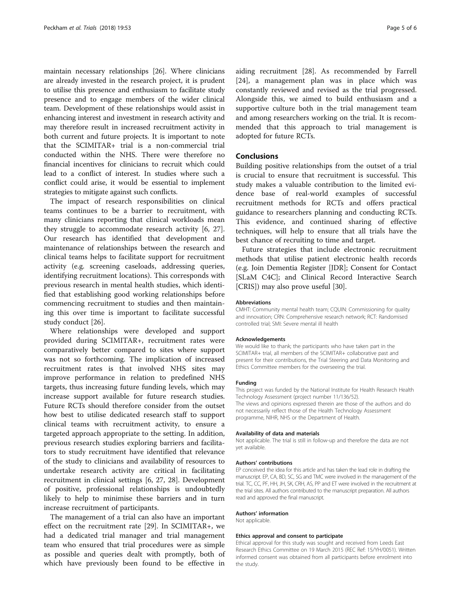maintain necessary relationships [\[26\]](#page-5-0). Where clinicians are already invested in the research project, it is prudent to utilise this presence and enthusiasm to facilitate study presence and to engage members of the wider clinical team. Development of these relationships would assist in enhancing interest and investment in research activity and may therefore result in increased recruitment activity in both current and future projects. It is important to note that the SCIMITAR+ trial is a non-commercial trial conducted within the NHS. There were therefore no financial incentives for clinicians to recruit which could lead to a conflict of interest. In studies where such a conflict could arise, it would be essential to implement strategies to mitigate against such conflicts.

The impact of research responsibilities on clinical teams continues to be a barrier to recruitment, with many clinicians reporting that clinical workloads mean they struggle to accommodate research activity [[6, 27](#page-5-0)]. Our research has identified that development and maintenance of relationships between the research and clinical teams helps to facilitate support for recruitment activity (e.g. screening caseloads, addressing queries, identifying recruitment locations). This corresponds with previous research in mental health studies, which identified that establishing good working relationships before commencing recruitment to studies and then maintaining this over time is important to facilitate successful study conduct [[26](#page-5-0)].

Where relationships were developed and support provided during SCIMITAR+, recruitment rates were comparatively better compared to sites where support was not so forthcoming. The implication of increased recruitment rates is that involved NHS sites may improve performance in relation to predefined NHS targets, thus increasing future funding levels, which may increase support available for future research studies. Future RCTs should therefore consider from the outset how best to utilise dedicated research staff to support clinical teams with recruitment activity, to ensure a targeted approach appropriate to the setting. In addition, previous research studies exploring barriers and facilitators to study recruitment have identified that relevance of the study to clinicians and availability of resources to undertake research activity are critical in facilitating recruitment in clinical settings [[6, 27](#page-5-0), [28\]](#page-5-0). Development of positive, professional relationships is undoubtedly likely to help to minimise these barriers and in turn increase recruitment of participants.

The management of a trial can also have an important effect on the recruitment rate [\[29](#page-5-0)]. In SCIMITAR+, we had a dedicated trial manager and trial management team who ensured that trial procedures were as simple as possible and queries dealt with promptly, both of which have previously been found to be effective in aiding recruitment [[28](#page-5-0)]. As recommended by Farrell [[24\]](#page-5-0), a management plan was in place which was constantly reviewed and revised as the trial progressed. Alongside this, we aimed to build enthusiasm and a supportive culture both in the trial management team and among researchers working on the trial. It is recommended that this approach to trial management is adopted for future RCTs.

#### Conclusions

Building positive relationships from the outset of a trial is crucial to ensure that recruitment is successful. This study makes a valuable contribution to the limited evidence base of real-world examples of successful recruitment methods for RCTs and offers practical guidance to researchers planning and conducting RCTs. This evidence, and continued sharing of effective techniques, will help to ensure that all trials have the best chance of recruiting to time and target.

Future strategies that include electronic recruitment methods that utilise patient electronic health records (e.g. Join Dementia Register [JDR]; Consent for Contact [SLaM C4C]; and Clinical Record Interactive Search [CRIS]) may also prove useful [\[30\]](#page-5-0).

#### **Abbreviations**

CMHT: Community mental health team; CQUIN: Commissioning for quality and innovation; CRN: Comprehensive research network; RCT: Randomised controlled trial; SMI: Severe mental ill health

#### Acknowledgements

We would like to thank; the participants who have taken part in the SCIMITAR+ trial, all members of the SCIMITAR+ collaborative past and present for their contributions, the Trial Steering and Data Monitoring and Ethics Committee members for the overseeing the trial.

#### Funding

This project was funded by the National Institute for Health Research Health Technology Assessment (project number 11/136/52). The views and opinions expressed therein are those of the authors and do not necessarily reflect those of the Health Technology Assessment programme, NIHR, NHS or the Department of Health.

#### Availability of data and materials

Not applicable. The trial is still in follow-up and therefore the data are not yet available.

#### Authors' contributions

EP conceived the idea for this article and has taken the lead role in drafting the manuscript. EP, CA, BD, SC, SG and TMC were involved in the management of the trial. TC, CC, PF, HH, JH, SK, CRH, AS, PP and ET were involved in the recruitment at the trial sites. All authors contributed to the manuscript preparation. All authors read and approved the final manuscript.

#### Authors' information

Not applicable.

#### Ethics approval and consent to participate

Ethical approval for this study was sought and received from Leeds East Research Ethics Committee on 19 March 2015 (REC Ref: 15/YH/0051). Written informed consent was obtained from all participants before enrolment into the study.